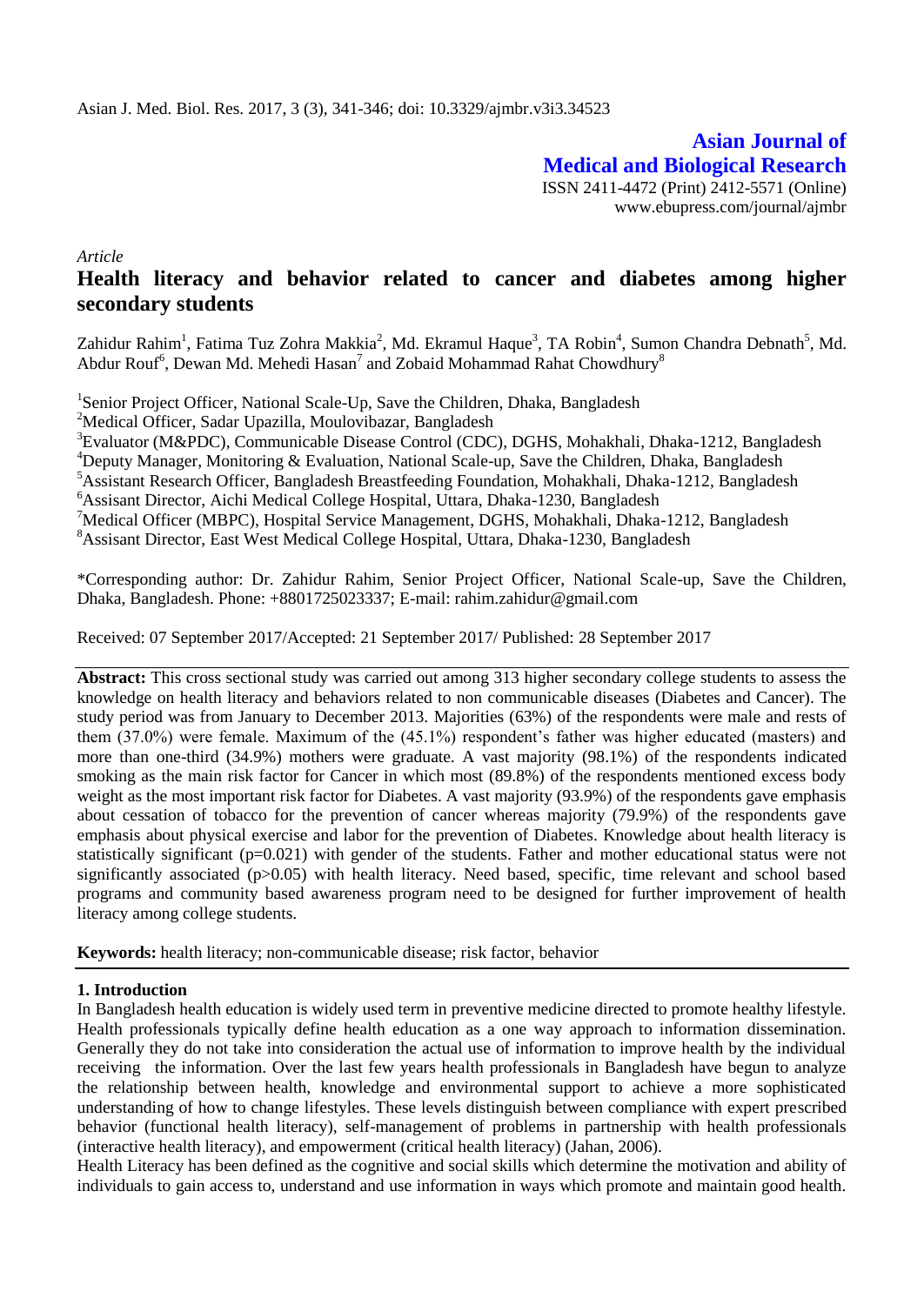**Asian Journal of Medical and Biological Research** ISSN 2411-4472 (Print) 2412-5571 (Online) www.ebupress.com/journal/ajmbr

*Article*

# **Health literacy and behavior related to cancer and diabetes among higher secondary students**

Zahidur Rahim<sup>1</sup>, Fatima Tuz Zohra Makkia<sup>2</sup>, Md. Ekramul Haque<sup>3</sup>, TA Robin<sup>4</sup>, Sumon Chandra Debnath<sup>5</sup>, Md. Abdur Rouf<sup>6</sup>, Dewan Md. Mehedi Hasan<sup>7</sup> and Zobaid Mohammad Rahat Chowdhury<sup>8</sup>

<sup>1</sup>Senior Project Officer, National Scale-Up, Save the Children, Dhaka, Bangladesh

<sup>2</sup>Medical Officer, Sadar Upazilla, Moulovibazar, Bangladesh

<sup>3</sup>Evaluator (M&PDC), Communicable Disease Control (CDC), DGHS, Mohakhali, Dhaka-1212, Bangladesh

<sup>4</sup>Deputy Manager, Monitoring & Evaluation, National Scale-up, Save the Children, Dhaka, Bangladesh

<sup>5</sup>Assistant Research Officer, Bangladesh Breastfeeding Foundation, Mohakhali, Dhaka-1212, Bangladesh

<sup>6</sup>Assisant Director, Aichi Medical College Hospital, Uttara, Dhaka-1230, Bangladesh

<sup>7</sup>Medical Officer (MBPC), Hospital Service Management, DGHS, Mohakhali, Dhaka-1212, Bangladesh <sup>8</sup>Assisant Director, East West Medical College Hospital, Uttara, Dhaka-1230, Bangladesh

\*Corresponding author: Dr. Zahidur Rahim, Senior Project Officer, National Scale-up, Save the Children, Dhaka, Bangladesh. Phone: +8801725023337; E-mail: rahim.zahidur@gmail.com

Received: 07 September 2017/Accepted: 21 September 2017/ Published: 28 September 2017

**Abstract:** This cross sectional study was carried out among 313 higher secondary college students to assess the knowledge on health literacy and behaviors related to non communicable diseases (Diabetes and Cancer). The study period was from January to December 2013. Majorities (63%) of the respondents were male and rests of them (37.0%) were female. Maximum of the (45.1%) respondent's father was higher educated (masters) and more than one-third (34.9%) mothers were graduate. A vast majority (98.1%) of the respondents indicated smoking as the main risk factor for Cancer in which most (89.8%) of the respondents mentioned excess body weight as the most important risk factor for Diabetes. A vast majority (93.9%) of the respondents gave emphasis about cessation of tobacco for the prevention of cancer whereas majority (79.9%) of the respondents gave emphasis about physical exercise and labor for the prevention of Diabetes. Knowledge about health literacy is statistically significant (p=0.021) with gender of the students. Father and mother educational status were not significantly associated (p>0.05) with health literacy. Need based, specific, time relevant and school based programs and community based awareness program need to be designed for further improvement of health literacy among college students.

**Keywords:** health literacy; non-communicable disease; risk factor, behavior

## **1. Introduction**

In Bangladesh health education is widely used term in preventive medicine directed to promote healthy lifestyle. Health professionals typically define health education as a one way approach to information dissemination. Generally they do not take into consideration the actual use of information to improve health by the individual receiving the information. Over the last few years health professionals in Bangladesh have begun to analyze the relationship between health, knowledge and environmental support to achieve a more sophisticated understanding of how to change lifestyles. These levels distinguish between compliance with expert prescribed behavior (functional health literacy), self-management of problems in partnership with health professionals (interactive health literacy), and empowerment (critical health literacy) (Jahan, 2006).

Health Literacy has been defined as the cognitive and social skills which determine the motivation and ability of individuals to gain access to, understand and use information in ways which promote and maintain good health.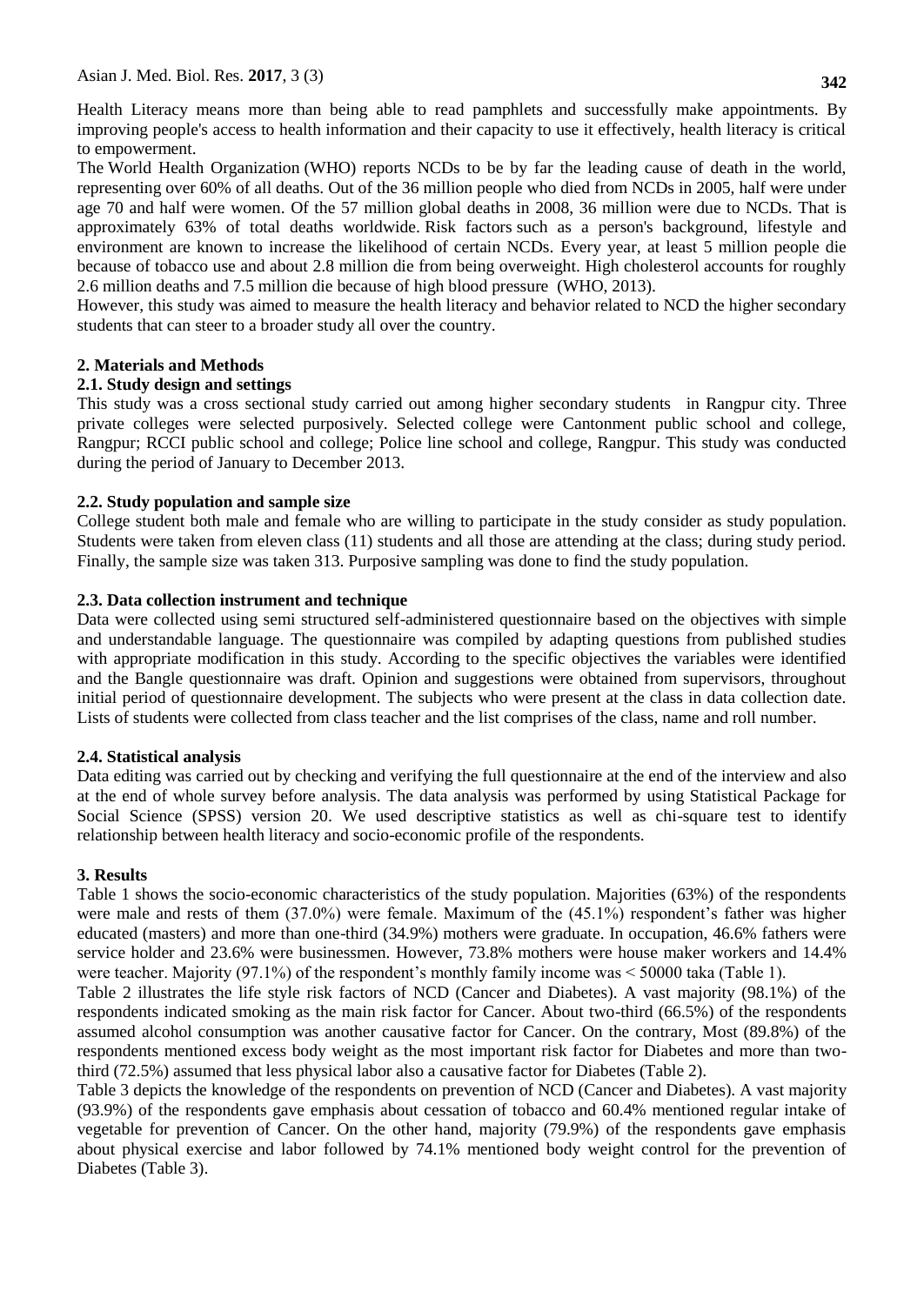Health Literacy means more than being able to read pamphlets and successfully make appointments. By improving people's access to health information and their capacity to use it effectively, health literacy is critical to empowerment.

The [World Health Organization](http://en.wikipedia.org/wiki/World_Health_Organization) (WHO) reports NCDs to be by far the leading cause of death in the world, representing over 60% of all deaths. Out of the 36 million people who died from NCDs in 2005, half were under age 70 and half were women. Of the 57 million global deaths in 2008, 36 million were due to NCDs. That is approximately 63% of total deaths worldwide. [Risk factors](http://en.wikipedia.org/wiki/Risk_factor) such as a person's background, lifestyle and environment are known to increase the likelihood of certain NCDs. Every year, at least 5 million people die because of tobacco use and about 2.8 million die from being overweight. High cholesterol accounts for roughly 2.6 million deaths and 7.5 million die because of [high blood pressure](http://en.wikipedia.org/wiki/High_blood_pressure) (WHO, 2013).

However, this study was aimed to measure the health literacy and behavior related to NCD the higher secondary students that can steer to a broader study all over the country.

# **2. Materials and Methods**

### **2.1. Study design and settings**

This study was a cross sectional study carried out among higher secondary students in Rangpur city. Three private colleges were selected purposively. Selected college were Cantonment public school and college, Rangpur; RCCI public school and college; Police line school and college, Rangpur. This study was conducted during the period of January to December 2013.

## **2.2. Study population and sample size**

College student both male and female who are willing to participate in the study consider as study population. Students were taken from eleven class (11) students and all those are attending at the class; during study period. Finally, the sample size was taken 313. Purposive sampling was done to find the study population.

### **2.3. Data collection instrument and technique**

Data were collected using semi structured self-administered questionnaire based on the objectives with simple and understandable language. The questionnaire was compiled by adapting questions from published studies with appropriate modification in this study. According to the specific objectives the variables were identified and the Bangle questionnaire was draft. Opinion and suggestions were obtained from supervisors, throughout initial period of questionnaire development. The subjects who were present at the class in data collection date. Lists of students were collected from class teacher and the list comprises of the class, name and roll number.

## **2.4. Statistical analysis**

Data editing was carried out by checking and verifying the full questionnaire at the end of the interview and also at the end of whole survey before analysis. The data analysis was performed by using Statistical Package for Social Science (SPSS) version 20. We used descriptive statistics as well as chi-square test to identify relationship between health literacy and socio-economic profile of the respondents.

#### **3. Results**

Table 1 shows the socio-economic characteristics of the study population. Majorities (63%) of the respondents were male and rests of them (37.0%) were female. Maximum of the (45.1%) respondent's father was higher educated (masters) and more than one-third (34.9%) mothers were graduate. In occupation, 46.6% fathers were service holder and 23.6% were businessmen. However, 73.8% mothers were house maker workers and 14.4% were teacher. Majority (97.1%) of the respondent's monthly family income was < 50000 taka (Table 1).

Table 2 illustrates the life style risk factors of NCD (Cancer and Diabetes). A vast majority (98.1%) of the respondents indicated smoking as the main risk factor for Cancer. About two-third (66.5%) of the respondents assumed alcohol consumption was another causative factor for Cancer. On the contrary, Most (89.8%) of the respondents mentioned excess body weight as the most important risk factor for Diabetes and more than twothird (72.5%) assumed that less physical labor also a causative factor for Diabetes (Table 2).

Table 3 depicts the knowledge of the respondents on prevention of NCD (Cancer and Diabetes). A vast majority (93.9%) of the respondents gave emphasis about cessation of tobacco and 60.4% mentioned regular intake of vegetable for prevention of Cancer. On the other hand, majority (79.9%) of the respondents gave emphasis about physical exercise and labor followed by 74.1% mentioned body weight control for the prevention of Diabetes (Table 3).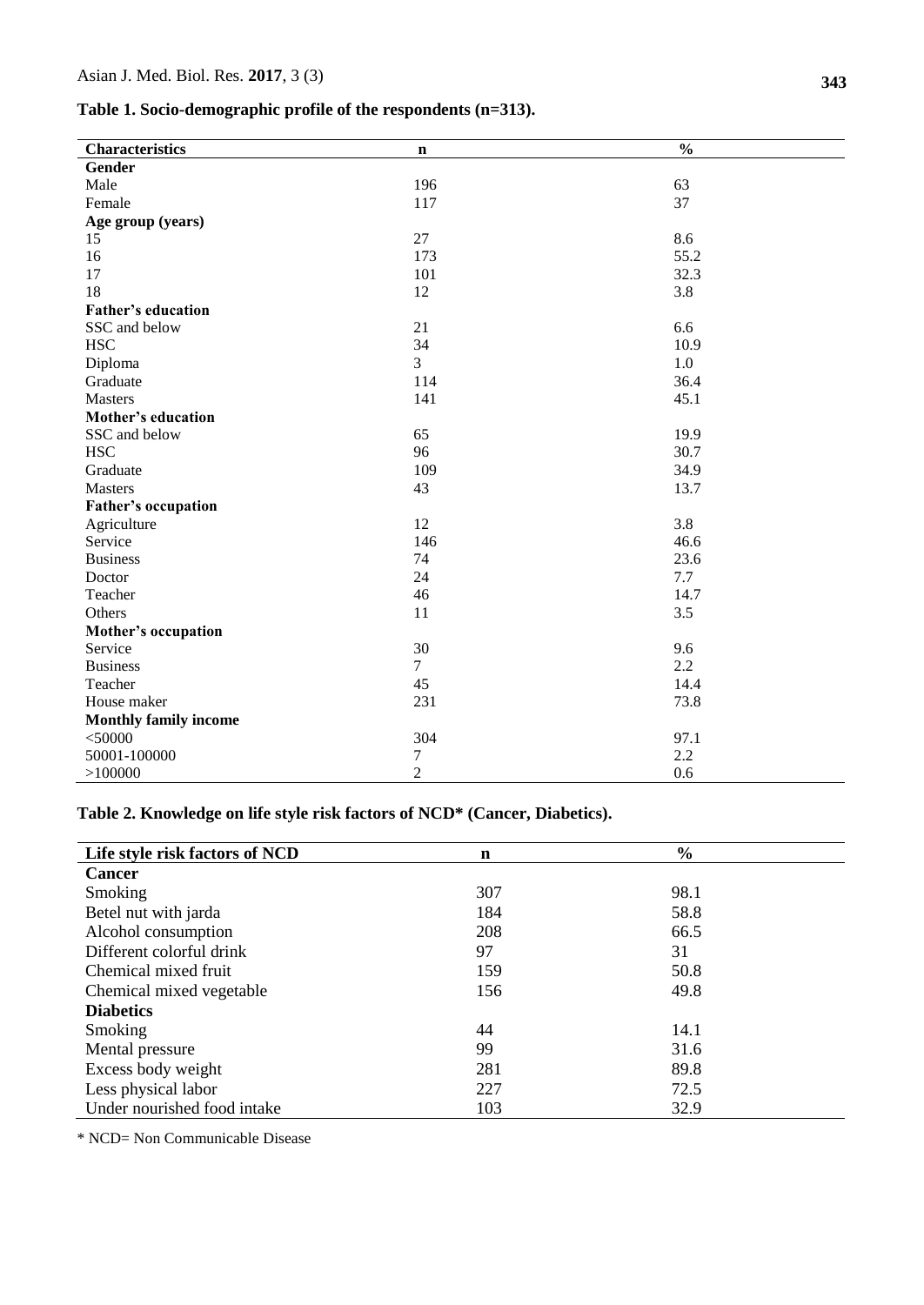**Table 1. Socio-demographic profile of the respondents (n=313).**

| <b>Characteristics</b>       | n              | $\frac{0}{0}$ |
|------------------------------|----------------|---------------|
| Gender                       |                |               |
| Male                         | 196            | 63            |
| Female                       | 117            | 37            |
| Age group (years)            |                |               |
| 15                           | 27             | 8.6           |
| 16                           | 173            | 55.2          |
| 17                           | 101            | 32.3          |
| 18                           | 12             | 3.8           |
| <b>Father's education</b>    |                |               |
| SSC and below                | 21             | 6.6           |
| <b>HSC</b>                   | 34             | 10.9          |
| Diploma                      | 3              | 1.0           |
| Graduate                     | 114            | 36.4          |
| Masters                      | 141            | 45.1          |
| <b>Mother's education</b>    |                |               |
| SSC and below                | 65             | 19.9          |
| <b>HSC</b>                   | 96             | 30.7          |
| Graduate                     | 109            | 34.9          |
| <b>Masters</b>               | 43             | 13.7          |
| Father's occupation          |                |               |
| Agriculture                  | 12             | 3.8           |
| Service                      | 146            | 46.6          |
| <b>Business</b>              | 74             | 23.6          |
| Doctor                       | 24             | 7.7           |
| Teacher                      | 46             | 14.7          |
| Others                       | 11             | 3.5           |
| Mother's occupation          |                |               |
| Service                      | 30             | 9.6           |
| <b>Business</b>              | $\tau$         | 2.2           |
| Teacher                      | 45             | 14.4          |
| House maker                  | 231            | 73.8          |
| <b>Monthly family income</b> |                |               |
| $<$ 50000                    | 304            | 97.1          |
| 50001-100000                 | 7              | 2.2           |
| >100000                      | $\overline{2}$ | 0.6           |

**Table 2. Knowledge on life style risk factors of NCD\* (Cancer, Diabetics).**

| Life style risk factors of NCD | n   | $\frac{6}{6}$ |  |
|--------------------------------|-----|---------------|--|
| <b>Cancer</b>                  |     |               |  |
| Smoking                        | 307 | 98.1          |  |
| Betel nut with jarda           | 184 | 58.8          |  |
| Alcohol consumption            | 208 | 66.5          |  |
| Different colorful drink       | 97  | 31            |  |
| Chemical mixed fruit           | 159 | 50.8          |  |
| Chemical mixed vegetable       | 156 | 49.8          |  |
| <b>Diabetics</b>               |     |               |  |
| Smoking                        | 44  | 14.1          |  |
| Mental pressure                | 99  | 31.6          |  |
| Excess body weight             | 281 | 89.8          |  |
| Less physical labor            | 227 | 72.5          |  |
| Under nourished food intake    | 103 | 32.9          |  |

\* NCD= Non Communicable Disease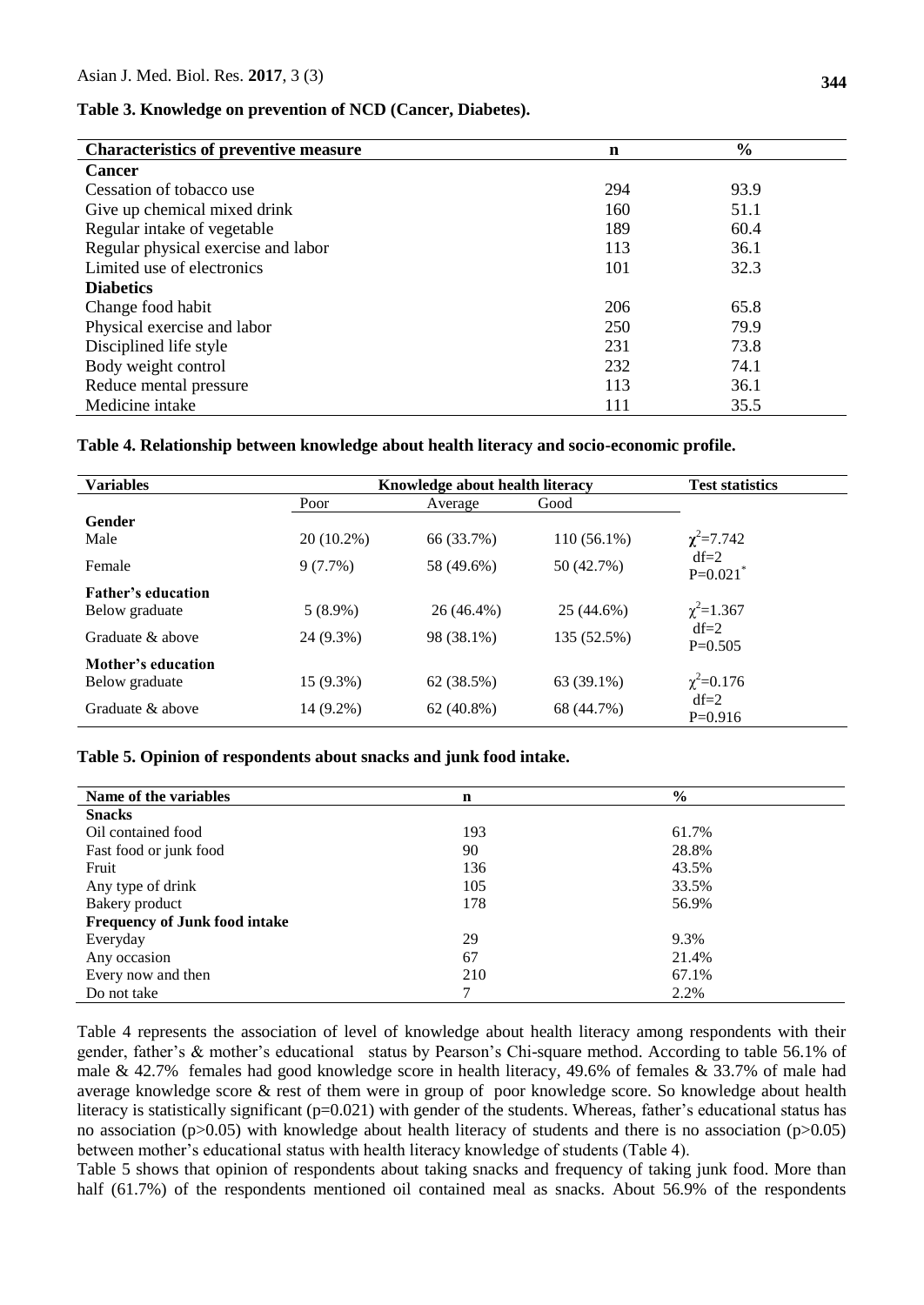### **Table 3. Knowledge on prevention of NCD (Cancer, Diabetes).**

| <b>Characteristics of preventive measure</b> | n   | $\frac{6}{6}$ |  |
|----------------------------------------------|-----|---------------|--|
| <b>Cancer</b>                                |     |               |  |
| Cessation of tobacco use                     | 294 | 93.9          |  |
| Give up chemical mixed drink                 | 160 | 51.1          |  |
| Regular intake of vegetable                  | 189 | 60.4          |  |
| Regular physical exercise and labor          | 113 | 36.1          |  |
| Limited use of electronics                   | 101 | 32.3          |  |
| <b>Diabetics</b>                             |     |               |  |
| Change food habit                            | 206 | 65.8          |  |
| Physical exercise and labor                  | 250 | 79.9          |  |
| Disciplined life style                       | 231 | 73.8          |  |
| Body weight control                          | 232 | 74.1          |  |
| Reduce mental pressure                       | 113 | 36.1          |  |
| Medicine intake                              | 111 | 35.5          |  |

#### **Table 4. Relationship between knowledge about health literacy and socio-economic profile.**

| <b>Variables</b>                            | Knowledge about health literacy |              |               | <b>Test statistics</b>           |
|---------------------------------------------|---------------------------------|--------------|---------------|----------------------------------|
|                                             | Poor                            | Average      | Good          |                                  |
| Gender<br>Male                              | 20 (10.2%)                      | 66 (33.7%)   | $110(56.1\%)$ | $\chi^2$ =7.742                  |
| Female                                      | $9(7.7\%)$                      | 58 (49.6%)   | 50 (42.7%)    | $df=2$<br>$P=0.021$ <sup>*</sup> |
| <b>Father's education</b><br>Below graduate | $5(8.9\%)$                      | 26 (46.4%)   | 25 (44.6%)    | $\chi^2$ =1.367                  |
| Graduate & above                            | 24 (9.3%)                       | 98 (38.1%)   | 135 (52.5%)   | $df=2$<br>$P=0.505$              |
| Mother's education<br>Below graduate        | $15(9.3\%)$                     | 62 (38.5%)   | 63 (39.1%)    | $\chi^2$ =0.176                  |
| Graduate & above                            | 14 (9.2%)                       | $62(40.8\%)$ | 68 (44.7%)    | $df=2$<br>$P=0.916$              |

#### **Table 5. Opinion of respondents about snacks and junk food intake.**

| Name of the variables                | $\mathbf n$ | $\frac{0}{0}$ |
|--------------------------------------|-------------|---------------|
| <b>Snacks</b>                        |             |               |
| Oil contained food                   | 193         | 61.7%         |
| Fast food or junk food               | 90          | 28.8%         |
| Fruit                                | 136         | 43.5%         |
| Any type of drink                    | 105         | 33.5%         |
| Bakery product                       | 178         | 56.9%         |
| <b>Frequency of Junk food intake</b> |             |               |
| Everyday                             | 29          | 9.3%          |
| Any occasion                         | 67          | 21.4%         |
| Every now and then                   | 210         | 67.1%         |
| Do not take                          | 7           | 2.2%          |

Table 4 represents the association of level of knowledge about health literacy among respondents with their gender, father's & mother's educational status by Pearson's Chi-square method. According to table 56.1% of male & 42.7% females had good knowledge score in health literacy, 49.6% of females & 33.7% of male had average knowledge score & rest of them were in group of poor knowledge score. So knowledge about health literacy is statistically significant (p=0.021) with gender of the students. Whereas, father's educational status has no association (p>0.05) with knowledge about health literacy of students and there is no association (p>0.05) between mother's educational status with health literacy knowledge of students (Table 4).

Table 5 shows that opinion of respondents about taking snacks and frequency of taking junk food. More than half (61.7%) of the respondents mentioned oil contained meal as snacks. About 56.9% of the respondents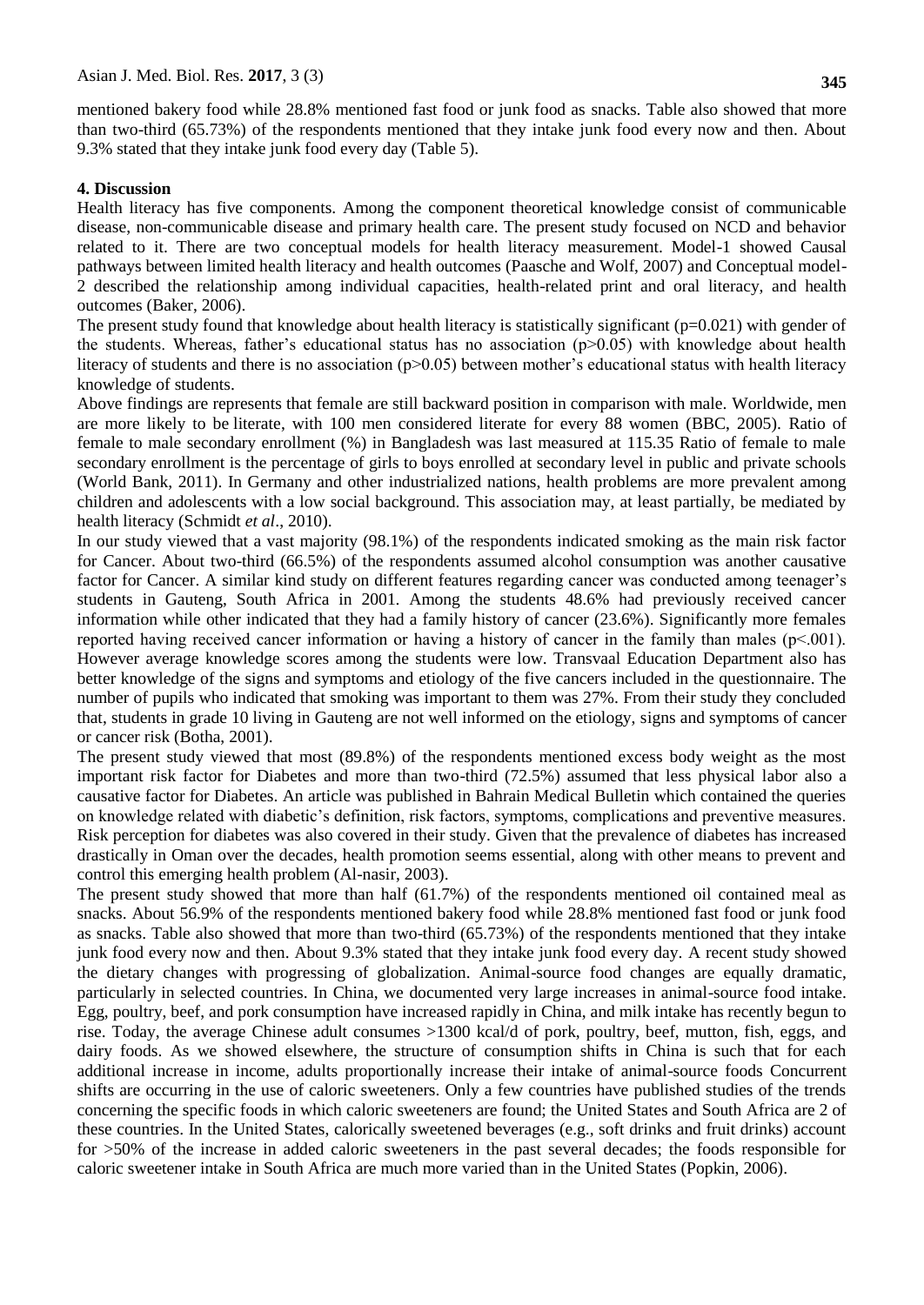mentioned bakery food while 28.8% mentioned fast food or junk food as snacks. Table also showed that more than two-third (65.73%) of the respondents mentioned that they intake junk food every now and then. About 9.3% stated that they intake junk food every day (Table 5).

#### **4. Discussion**

Health literacy has five components. Among the component theoretical knowledge consist of communicable disease, non-communicable disease and primary health care. The present study focused on NCD and behavior related to it. There are two conceptual models for health literacy measurement. Model-1 showed Causal pathways between limited health literacy and health outcomes (Paasche and Wolf, 2007) and Conceptual model-2 described the relationship among individual capacities, health-related print and oral literacy, and health outcomes (Baker, 2006).

The present study found that knowledge about health literacy is statistically significant ( $p=0.021$ ) with gender of the students. Whereas, father's educational status has no association  $(p>0.05)$  with knowledge about health literacy of students and there is no association  $(p>0.05)$  between mother's educational status with health literacy knowledge of students.

Above findings are represents that female are still backward position in comparison with male. Worldwide, men are more likely to be [literate,](http://en.wikipedia.org/wiki/Literacy) with 100 men considered literate for every 88 women (BBC, 2005). Ratio of female to male secondary enrollment (%) in Bangladesh was last measured at 115.35 Ratio of female to male secondary enrollment is the percentage of girls to boys enrolled at secondary level in public and private schools (World Bank, 2011). In Germany and other industrialized nations, health problems are more prevalent among children and adolescents with a low social background. This association may, at least partially, be mediated by health literacy (Schmidt *et al*., 2010).

In our study viewed that a vast majority (98.1%) of the respondents indicated smoking as the main risk factor for Cancer. About two-third (66.5%) of the respondents assumed alcohol consumption was another causative factor for Cancer. A similar kind study on different features regarding cancer was conducted among teenager's students in Gauteng, South Africa in 2001. Among the students 48.6% had previously received cancer information while other indicated that they had a family history of cancer (23.6%). Significantly more females reported having received cancer information or having a history of cancer in the family than males (p˂.001). However average knowledge scores among the students were low. Transvaal Education Department also has better knowledge of the signs and symptoms and etiology of the five cancers included in the questionnaire. The number of pupils who indicated that smoking was important to them was 27%. From their study they concluded that, students in grade 10 living in Gauteng are not well informed on the etiology, signs and symptoms of cancer or cancer risk (Botha, 2001).

The present study viewed that most (89.8%) of the respondents mentioned excess body weight as the most important risk factor for Diabetes and more than two-third (72.5%) assumed that less physical labor also a causative factor for Diabetes. An article was published in Bahrain Medical Bulletin which contained the queries on knowledge related with diabetic's definition, risk factors, symptoms, complications and preventive measures. Risk perception for diabetes was also covered in their study. Given that the prevalence of diabetes has increased drastically in Oman over the decades, health promotion seems essential, along with other means to prevent and control this emerging health problem (Al-nasir, 2003).

The present study showed that more than half (61.7%) of the respondents mentioned oil contained meal as snacks. About 56.9% of the respondents mentioned bakery food while 28.8% mentioned fast food or junk food as snacks. Table also showed that more than two-third (65.73%) of the respondents mentioned that they intake junk food every now and then. About 9.3% stated that they intake junk food every day. A recent study showed the dietary changes with progressing of globalization. Animal-source food changes are equally dramatic, particularly in selected countries. In China, we documented very large increases in animal-source food intake. Egg, poultry, beef, and pork consumption have increased rapidly in China, and milk intake has recently begun to rise. Today, the average Chinese adult consumes >1300 kcal/d of pork, poultry, beef, mutton, fish, eggs, and dairy foods. As we showed elsewhere, the structure of consumption shifts in China is such that for each additional increase in income, adults proportionally increase their intake of animal-source foods Concurrent shifts are occurring in the use of caloric sweeteners. Only a few countries have published studies of the trends concerning the specific foods in which caloric sweeteners are found; the United States and South Africa are 2 of these countries. In the United States, calorically sweetened beverages (e.g., soft drinks and fruit drinks) account for >50% of the increase in added caloric sweeteners in the past several decades; the foods responsible for caloric sweetener intake in South Africa are much more varied than in the United States (Popkin, 2006).